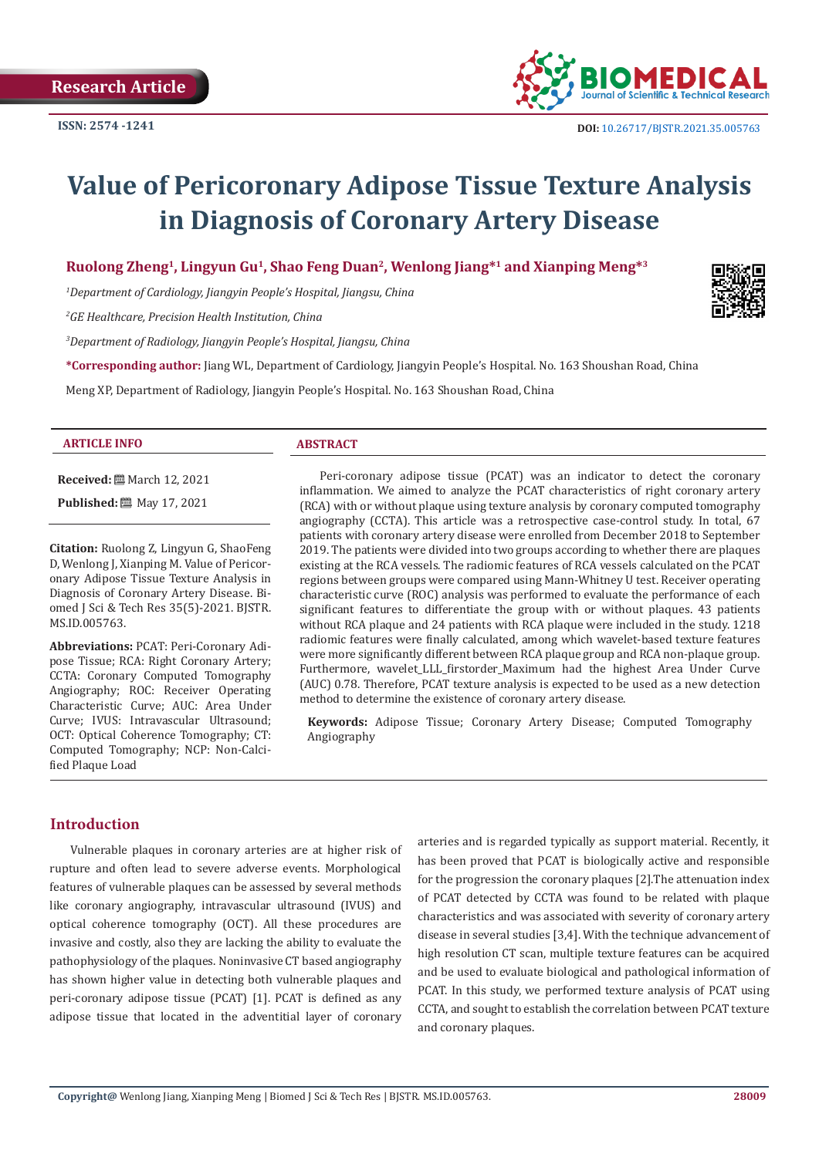

# **Value of Pericoronary Adipose Tissue Texture Analysis in Diagnosis of Coronary Artery Disease**

# **Ruolong Zheng1, Lingyun Gu1, Shao Feng Duan2, Wenlong Jiang\*1 and Xianping Meng\*3**

*1 Department of Cardiology, Jiangyin People's Hospital, Jiangsu, China*

*2 GE Healthcare, Precision Health Institution, China*

*3 Department of Radiology, Jiangyin People's Hospital, Jiangsu, China*

**\*Corresponding author:** Jiang WL, Department of Cardiology, Jiangyin People's Hospital. No. 163 Shoushan Road, China

Meng XP, Department of Radiology, Jiangyin People's Hospital. No. 163 Shoushan Road, China

#### **ARTICLE INFO ABSTRACT**

**Received:** March 12, 2021 **Published:** ■ May 17, 2021

**Citation:** Ruolong Z, Lingyun G, ShaoFeng D, Wenlong J, Xianping M. Value of Pericoronary Adipose Tissue Texture Analysis in Diagnosis of Coronary Artery Disease. Biomed J Sci & Tech Res 35(5)-2021. BJSTR. MS.ID.005763.

**Abbreviations:** PCAT: Peri-Coronary Adipose Tissue; RCA: Right Coronary Artery; CCTA: Coronary Computed Tomography Angiography; ROC: Receiver Operating Characteristic Curve; AUC: Area Under Curve; IVUS: Intravascular Ultrasound; OCT: Optical Coherence Tomography; CT: Computed Tomography; NCP: Non-Calcified Plaque Load

Peri-coronary adipose tissue (PCAT) was an indicator to detect the coronary inflammation. We aimed to analyze the PCAT characteristics of right coronary artery (RCA) with or without plaque using texture analysis by coronary computed tomography angiography (CCTA). This article was a retrospective case-control study. In total, 67 patients with coronary artery disease were enrolled from December 2018 to September 2019. The patients were divided into two groups according to whether there are plaques existing at the RCA vessels. The radiomic features of RCA vessels calculated on the PCAT regions between groups were compared using Mann-Whitney U test. Receiver operating characteristic curve (ROC) analysis was performed to evaluate the performance of each significant features to differentiate the group with or without plaques. 43 patients without RCA plaque and 24 patients with RCA plaque were included in the study. 1218 radiomic features were finally calculated, among which wavelet-based texture features were more significantly different between RCA plaque group and RCA non-plaque group. Furthermore, wavelet\_LLL\_firstorder\_Maximum had the highest Area Under Curve (AUC) 0.78. Therefore, PCAT texture analysis is expected to be used as a new detection method to determine the existence of coronary artery disease.

**Keywords:** Adipose Tissue; Coronary Artery Disease; Computed Tomography Angiography

#### **Introduction**

Vulnerable plaques in coronary arteries are at higher risk of rupture and often lead to severe adverse events. Morphological features of vulnerable plaques can be assessed by several methods like coronary angiography, intravascular ultrasound (IVUS) and optical coherence tomography (OCT). All these procedures are invasive and costly, also they are lacking the ability to evaluate the pathophysiology of the plaques. Noninvasive CT based angiography has shown higher value in detecting both vulnerable plaques and peri-coronary adipose tissue (PCAT) [1]. PCAT is defined as any adipose tissue that located in the adventitial layer of coronary

arteries and is regarded typically as support material. Recently, it has been proved that PCAT is biologically active and responsible for the progression the coronary plaques [2].The attenuation index of PCAT detected by CCTA was found to be related with plaque characteristics and was associated with severity of coronary artery disease in several studies [3,4]. With the technique advancement of high resolution CT scan, multiple texture features can be acquired and be used to evaluate biological and pathological information of PCAT. In this study, we performed texture analysis of PCAT using CCTA, and sought to establish the correlation between PCAT texture and coronary plaques.

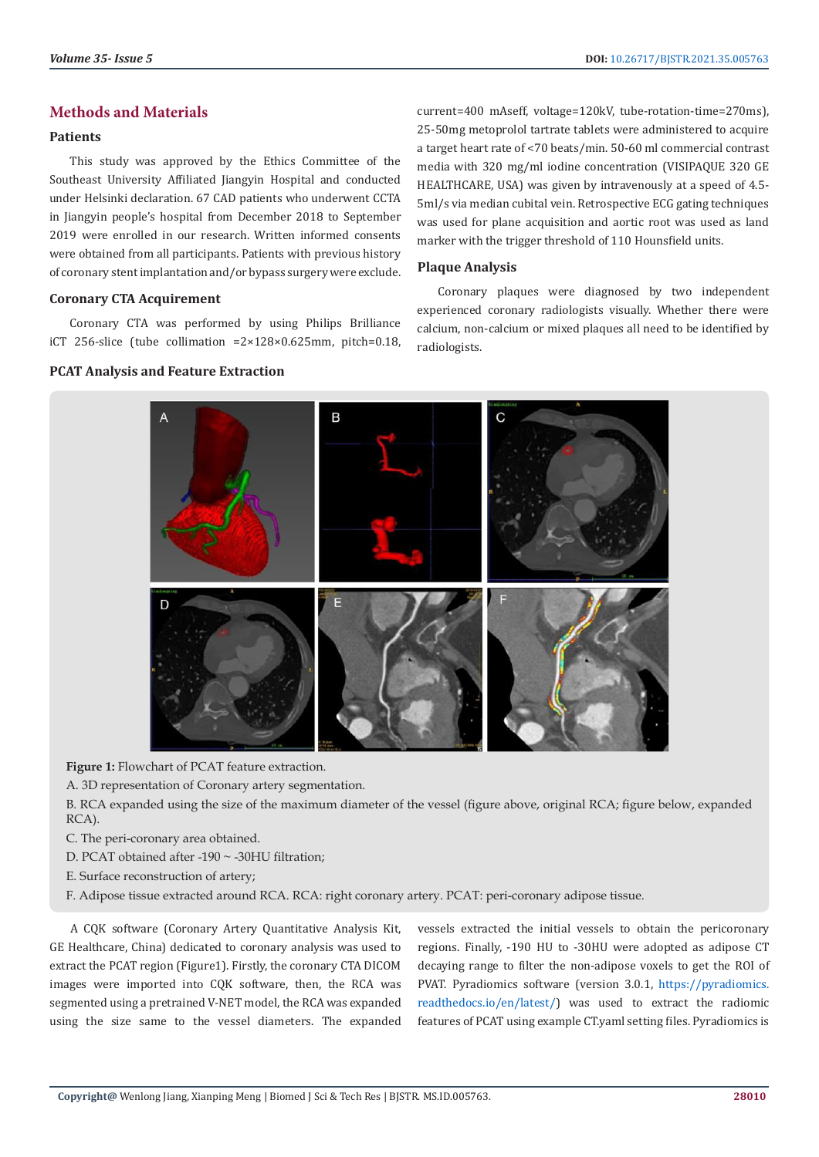# **Methods and Materials**

#### **Patients**

This study was approved by the Ethics Committee of the Southeast University Affiliated Jiangyin Hospital and conducted under Helsinki declaration. 67 CAD patients who underwent CCTA in Jiangyin people's hospital from December 2018 to September 2019 were enrolled in our research. Written informed consents were obtained from all participants. Patients with previous history of coronary stent implantation and/or bypass surgery were exclude.

#### **Coronary CTA Acquirement**

Coronary CTA was performed by using Philips Brilliance iCT 256-slice (tube collimation =2×128×0.625mm, pitch=0.18,

# **PCAT Analysis and Feature Extraction**

current=400 mAseff, voltage=120kV, tube-rotation-time=270ms), 25-50mg metoprolol tartrate tablets were administered to acquire a target heart rate of <70 beats/min. 50-60 ml commercial contrast media with 320 mg/ml iodine concentration (VISIPAQUE 320 GE HEALTHCARE, USA) was given by intravenously at a speed of 4.5- 5ml/s via median cubital vein. Retrospective ECG gating techniques was used for plane acquisition and aortic root was used as land marker with the trigger threshold of 110 Hounsfield units.

#### **Plaque Analysis**

Coronary plaques were diagnosed by two independent experienced coronary radiologists visually. Whether there were calcium, non-calcium or mixed plaques all need to be identified by radiologists.



**Figure 1:** Flowchart of PCAT feature extraction.

A. 3D representation of Coronary artery segmentation.

B. RCA expanded using the size of the maximum diameter of the vessel (figure above, original RCA; figure below, expanded RCA).

- C. The peri-coronary area obtained.
- D. PCAT obtained after -190 ~ -30HU filtration;
- E. Surface reconstruction of artery;
- F. Adipose tissue extracted around RCA. RCA: right coronary artery. PCAT: peri-coronary adipose tissue.

A CQK software (Coronary Artery Quantitative Analysis Kit, GE Healthcare, China) dedicated to coronary analysis was used to extract the PCAT region (Figure1). Firstly, the coronary CTA DICOM images were imported into CQK software, then, the RCA was segmented using a pretrained V-NET model, the RCA was expanded using the size same to the vessel diameters. The expanded

vessels extracted the initial vessels to obtain the pericoronary regions. Finally, -190 HU to -30HU were adopted as adipose CT decaying range to filter the non-adipose voxels to get the ROI of PVAT. Pyradiomics software (version 3.0.1, [https://pyradiomics.](https://pyradiomics.readthedocs.io/en/latest/) [readthedocs.io/en/latest/](https://pyradiomics.readthedocs.io/en/latest/)) was used to extract the radiomic features of PCAT using example CT.yaml setting files. Pyradiomics is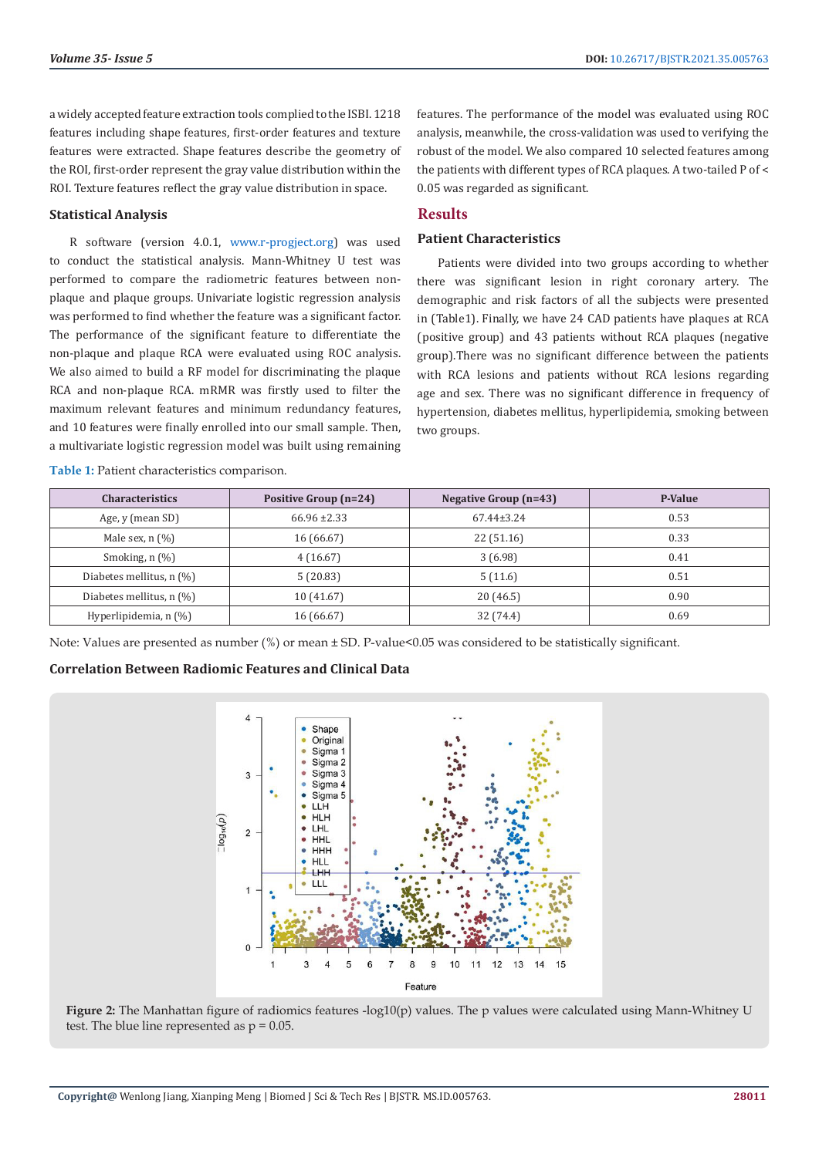a widely accepted feature extraction tools complied to the ISBI. 1218 features including shape features, first-order features and texture features were extracted. Shape features describe the geometry of the ROI, first-order represent the gray value distribution within the ROI. Texture features reflect the gray value distribution in space.

#### **Statistical Analysis**

R software (version 4.0.1, [www.r-progject.org\)](http://www.r-progject.org) was used to conduct the statistical analysis. Mann-Whitney U test was performed to compare the radiometric features between nonplaque and plaque groups. Univariate logistic regression analysis was performed to find whether the feature was a significant factor. The performance of the significant feature to differentiate the non-plaque and plaque RCA were evaluated using ROC analysis. We also aimed to build a RF model for discriminating the plaque RCA and non-plaque RCA. mRMR was firstly used to filter the maximum relevant features and minimum redundancy features, and 10 features were finally enrolled into our small sample. Then, a multivariate logistic regression model was built using remaining

**Table 1:** Patient characteristics comparison.

features. The performance of the model was evaluated using ROC analysis, meanwhile, the cross-validation was used to verifying the robust of the model. We also compared 10 selected features among the patients with different types of RCA plaques. A two-tailed P of < 0.05 was regarded as significant.

# **Results**

# **Patient Characteristics**

Patients were divided into two groups according to whether there was significant lesion in right coronary artery. The demographic and risk factors of all the subjects were presented in (Table1). Finally, we have 24 CAD patients have plaques at RCA (positive group) and 43 patients without RCA plaques (negative group).There was no significant difference between the patients with RCA lesions and patients without RCA lesions regarding age and sex. There was no significant difference in frequency of hypertension, diabetes mellitus, hyperlipidemia, smoking between two groups.

| <b>Characteristics</b>                            | Positive Group (n=24) | Negative Group $(n=43)$ | P-Value |
|---------------------------------------------------|-----------------------|-------------------------|---------|
| Age, y (mean SD)                                  | $66.96 \pm 2.33$      | $67.44 \pm 3.24$        | 0.53    |
| Male sex, $n$ $(\%)$                              | 16 (66.67)            | 22(51.16)               | 0.33    |
| Smoking, $n$ $(\%)$                               | 4(16.67)              | 3(6.98)                 | 0.41    |
| Diabetes mellitus, $n$ (%)                        | 5(20.83)              | 5(11.6)                 | 0.51    |
| Diabetes mellitus, $n$ $\left(\frac{9}{0}\right)$ | 10 (41.67)            | 20(46.5)                | 0.90    |
| Hyperlipidemia, n (%)                             | 16 (66.67)            | 32 (74.4)               | 0.69    |

Note: Values are presented as number (%) or mean ± SD. P-value<0.05 was considered to be statistically significant.

#### **Correlation Between Radiomic Features and Clinical Data**



**Figure 2:** The Manhattan figure of radiomics features -log10(p) values. The p values were calculated using Mann-Whitney U test. The blue line represented as  $p = 0.05$ .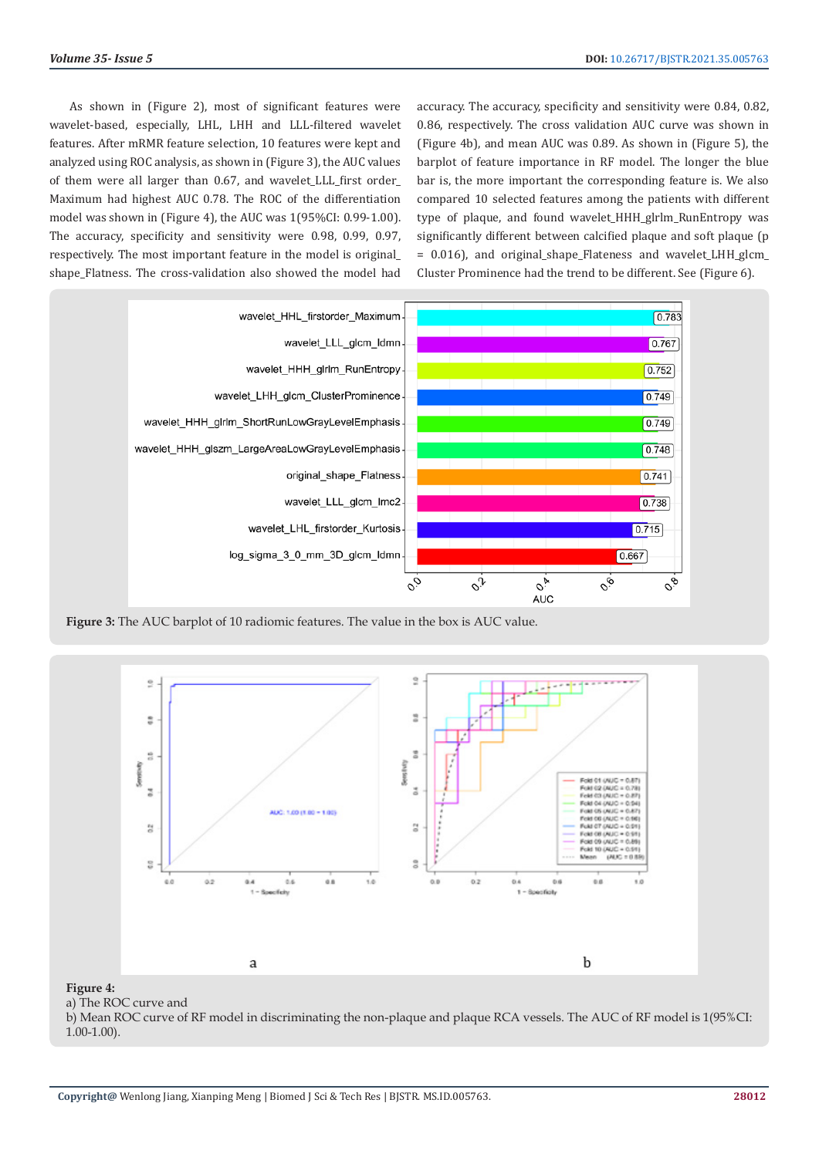As shown in (Figure 2), most of significant features were wavelet-based, especially, LHL, LHH and LLL-filtered wavelet features. After mRMR feature selection, 10 features were kept and analyzed using ROC analysis, as shown in (Figure 3), the AUC values of them were all larger than 0.67, and wavelet\_LLL\_first order\_ Maximum had highest AUC 0.78. The ROC of the differentiation model was shown in (Figure 4), the AUC was 1(95%CI: 0.99-1.00). The accuracy, specificity and sensitivity were 0.98, 0.99, 0.97, respectively. The most important feature in the model is original\_ shape\_Flatness. The cross-validation also showed the model had

accuracy. The accuracy, specificity and sensitivity were 0.84, 0.82, 0.86, respectively. The cross validation AUC curve was shown in (Figure 4b), and mean AUC was 0.89. As shown in (Figure 5), the barplot of feature importance in RF model. The longer the blue bar is, the more important the corresponding feature is. We also compared 10 selected features among the patients with different type of plaque, and found wavelet\_HHH\_glrlm\_RunEntropy was significantly different between calcified plaque and soft plaque (p  $= 0.016$ ), and original shape Flateness and wavelet LHH glcm Cluster Prominence had the trend to be different. See (Figure 6).



**Figure 3:** The AUC barplot of 10 radiomic features. The value in the box is AUC value.



#### **Figure 4:**

a) The ROC curve and

b) Mean ROC curve of RF model in discriminating the non-plaque and plaque RCA vessels. The AUC of RF model is 1(95%CI: 1.00-1.00).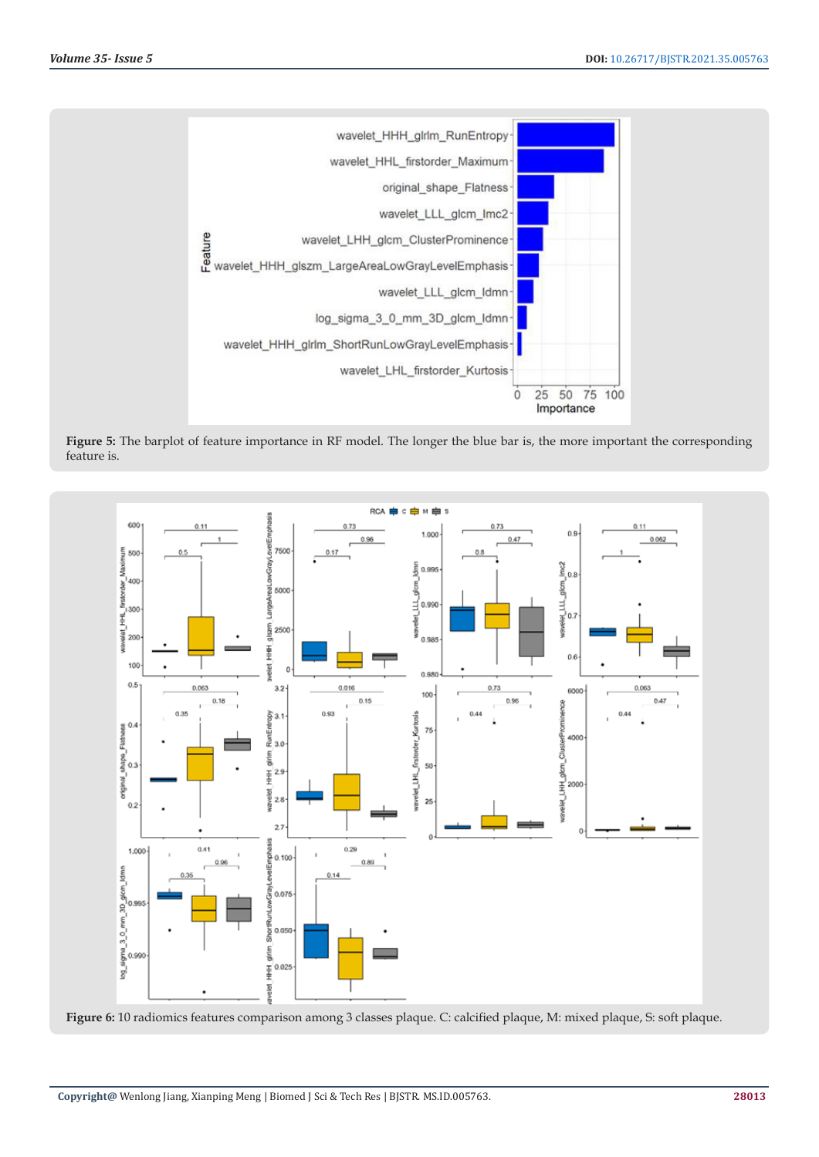

**Figure 5:** The barplot of feature importance in RF model. The longer the blue bar is, the more important the corresponding feature is.



**Figure 6:** 10 radiomics features comparison among 3 classes plaque. C: calcified plaque, M: mixed plaque, S: soft plaque.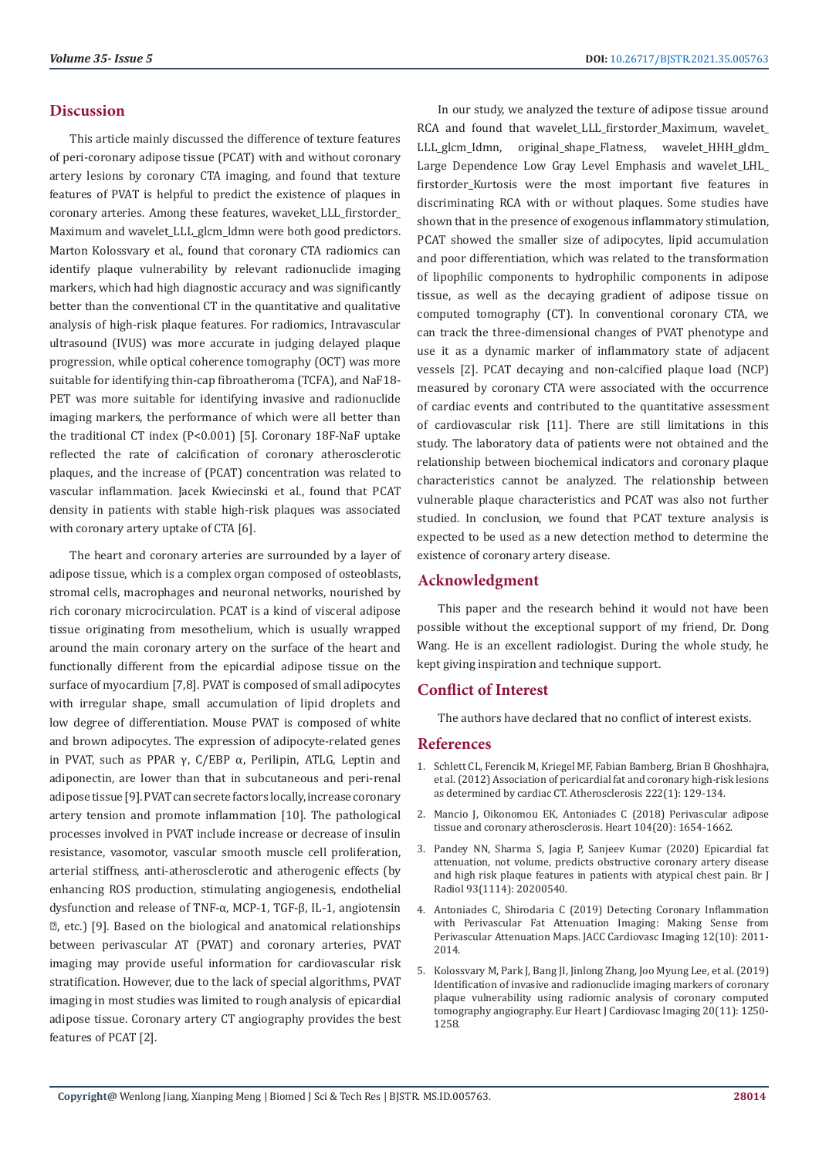#### **Discussion**

This article mainly discussed the difference of texture features of peri-coronary adipose tissue (PCAT) with and without coronary artery lesions by coronary CTA imaging, and found that texture features of PVAT is helpful to predict the existence of plaques in coronary arteries. Among these features, waveket\_LLL\_firstorder\_ Maximum and wavelet LLL glcm ldmn were both good predictors. Marton Kolossvary et al., found that coronary CTA radiomics can identify plaque vulnerability by relevant radionuclide imaging markers, which had high diagnostic accuracy and was significantly better than the conventional CT in the quantitative and qualitative analysis of high-risk plaque features. For radiomics, Intravascular ultrasound (IVUS) was more accurate in judging delayed plaque progression, while optical coherence tomography (OCT) was more suitable for identifying thin-cap fibroatheroma (TCFA), and NaF18- PET was more suitable for identifying invasive and radionuclide imaging markers, the performance of which were all better than the traditional CT index (P<0.001) [5]. Coronary 18F-NaF uptake reflected the rate of calcification of coronary atherosclerotic plaques, and the increase of (PCAT) concentration was related to vascular inflammation. Jacek Kwiecinski et al., found that PCAT density in patients with stable high-risk plaques was associated with coronary artery uptake of CTA [6].

The heart and coronary arteries are surrounded by a layer of adipose tissue, which is a complex organ composed of osteoblasts, stromal cells, macrophages and neuronal networks, nourished by rich coronary microcirculation. PCAT is a kind of visceral adipose tissue originating from mesothelium, which is usually wrapped around the main coronary artery on the surface of the heart and functionally different from the epicardial adipose tissue on the surface of myocardium [7,8]. PVAT is composed of small adipocytes with irregular shape, small accumulation of lipid droplets and low degree of differentiation. Mouse PVAT is composed of white and brown adipocytes. The expression of adipocyte-related genes in PVAT, such as PPAR γ,  $C/EBP$  α, Perilipin, ATLG, Leptin and adiponectin, are lower than that in subcutaneous and peri-renal adipose tissue [9]. PVAT can secrete factors locally, increase coronary artery tension and promote inflammation [10]. The pathological processes involved in PVAT include increase or decrease of insulin resistance, vasomotor, vascular smooth muscle cell proliferation, arterial stiffness, anti-atherosclerotic and atherogenic effects (by enhancing ROS production, stimulating angiogenesis, endothelial dysfunction and release of TNF-α, MCP-1, TGF-β, IL-1, angiotensin Ⅱ, etc.) [9]. Based on the biological and anatomical relationships between perivascular AT (PVAT) and coronary arteries, PVAT imaging may provide useful information for cardiovascular risk stratification. However, due to the lack of special algorithms, PVAT imaging in most studies was limited to rough analysis of epicardial adipose tissue. Coronary artery CT angiography provides the best features of PCAT [2].

In our study, we analyzed the texture of adipose tissue around RCA and found that wavelet\_LLL\_firstorder\_Maximum, wavelet\_ LLL\_glcm\_Idmn, original\_shape\_Flatness, wavelet\_HHH\_gldm\_ Large Dependence Low Gray Level Emphasis and wavelet\_LHL\_ firstorder\_Kurtosis were the most important five features in discriminating RCA with or without plaques. Some studies have shown that in the presence of exogenous inflammatory stimulation, PCAT showed the smaller size of adipocytes, lipid accumulation and poor differentiation, which was related to the transformation of lipophilic components to hydrophilic components in adipose tissue, as well as the decaying gradient of adipose tissue on computed tomography (CT). In conventional coronary CTA, we can track the three-dimensional changes of PVAT phenotype and use it as a dynamic marker of inflammatory state of adjacent vessels [2]. PCAT decaying and non-calcified plaque load (NCP) measured by coronary CTA were associated with the occurrence of cardiac events and contributed to the quantitative assessment of cardiovascular risk [11]. There are still limitations in this study. The laboratory data of patients were not obtained and the relationship between biochemical indicators and coronary plaque characteristics cannot be analyzed. The relationship between vulnerable plaque characteristics and PCAT was also not further studied. In conclusion, we found that PCAT texture analysis is expected to be used as a new detection method to determine the existence of coronary artery disease.

# **Acknowledgment**

This paper and the research behind it would not have been possible without the exceptional support of my friend, Dr. Dong Wang. He is an excellent radiologist. During the whole study, he kept giving inspiration and technique support.

# **Conflict of Interest**

The authors have declared that no conflict of interest exists.

#### **References**

- 1. [Schlett CL, Ferencik M, Kriegel MF, Fabian Bamberg, Brian B Ghoshhajra,](https://pubmed.ncbi.nlm.nih.gov/22417843/) [et al. \(2012\) Association of pericardial fat and coronary high-risk lesions](https://pubmed.ncbi.nlm.nih.gov/22417843/) [as determined by cardiac CT. Atherosclerosis 222\(1\): 129-134.](https://pubmed.ncbi.nlm.nih.gov/22417843/)
- 2. [Mancio J, Oikonomou EK, Antoniades C \(2018\) Perivascular adipose](https://pubmed.ncbi.nlm.nih.gov/29853488/) [tissue and coronary atherosclerosis. Heart 104\(20\): 1654-1662.](https://pubmed.ncbi.nlm.nih.gov/29853488/)
- 3. [Pandey NN, Sharma S, Jagia P, Sanjeev Kumar \(2020\) Epicardial fat](https://pubmed.ncbi.nlm.nih.gov/32706985/) [attenuation, not volume, predicts obstructive coronary artery disease](https://pubmed.ncbi.nlm.nih.gov/32706985/) [and high risk plaque features in patients with atypical chest pain. Br J](https://pubmed.ncbi.nlm.nih.gov/32706985/) [Radiol 93\(1114\): 20200540.](https://pubmed.ncbi.nlm.nih.gov/32706985/)
- 4. [Antoniades C, Shirodaria C \(2019\) Detecting Coronary Inflammation](https://pubmed.ncbi.nlm.nih.gov/30772228/) [with Perivascular Fat Attenuation Imaging: Making Sense from](https://pubmed.ncbi.nlm.nih.gov/30772228/) [Perivascular Attenuation Maps. JACC Cardiovasc Imaging 12\(10\): 2011-](https://pubmed.ncbi.nlm.nih.gov/30772228/) [2014.](https://pubmed.ncbi.nlm.nih.gov/30772228/)
- 5. [Kolossvary M, Park J, Bang JI, Jinlong Zhang, Joo Myung Lee, et al. \(2019\)](https://pubmed.ncbi.nlm.nih.gov/30838375/) [Identification of invasive and radionuclide imaging markers of coronary](https://pubmed.ncbi.nlm.nih.gov/30838375/) [plaque vulnerability using radiomic analysis of coronary computed](https://pubmed.ncbi.nlm.nih.gov/30838375/) [tomography angiography. Eur Heart J Cardiovasc Imaging 20\(11\): 1250-](https://pubmed.ncbi.nlm.nih.gov/30838375/) [1258.](https://pubmed.ncbi.nlm.nih.gov/30838375/)